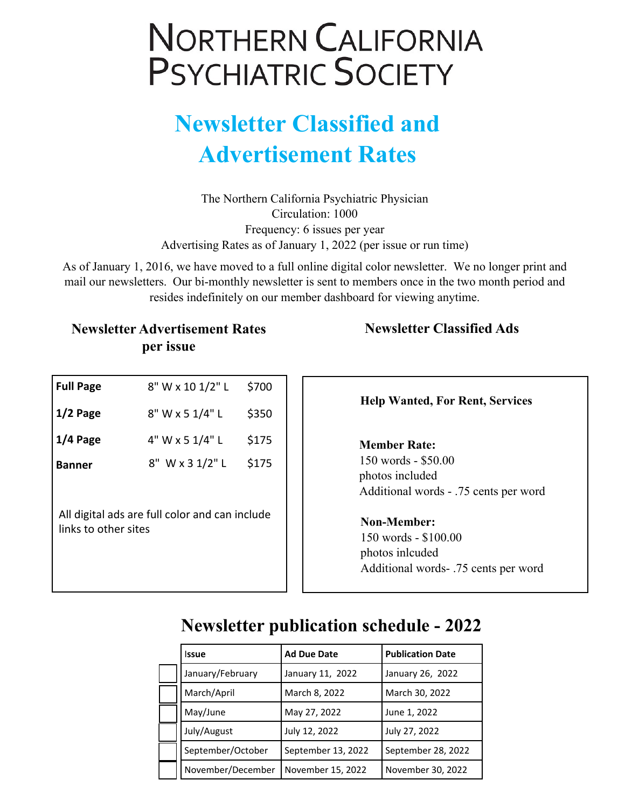## **NORTHERN CALIFORNIA PSYCHIATRIC SOCIETY**

## **Newsletter Classified and Advertisement Rates**

The Northern California Psychiatric Physician Circulation: 1000 Frequency: 6 issues per year Advertising Rates as of January 1, 2022 (per issue or run time)

As of January 1, 2016, we have moved to a full online digital color newsletter. We no longer print and mail our newsletters. Our bi-monthly newsletter is sent to members once in the two month period and resides indefinitely on our member dashboard for viewing anytime.

#### **Newsletter Advertisement Rates per issue**

| <b>Full Page</b>                                                       | 8" W x 10 1/2" L | \$700 |  |  |
|------------------------------------------------------------------------|------------------|-------|--|--|
| $1/2$ Page                                                             | 8" W x 5 1/4" L  | \$350 |  |  |
| $1/4$ Page                                                             | 4" W x 5 1/4" L  | \$175 |  |  |
| <b>Banner</b>                                                          | 8" W x 3 1/2" L  | \$175 |  |  |
|                                                                        |                  |       |  |  |
| All digital ads are full color and can include<br>links to other sites |                  |       |  |  |
|                                                                        |                  |       |  |  |

#### **Newsletter Classified Ads**

**Help Wanted, For Rent, Services**

#### **Member Rate:**

150 words - \$50.00 photos included Additional words - .75 cents per word

#### **Non-Member:**

150 words - \$100.00 photos inlcuded Additional words- .75 cents per word

### **Newsletter publication schedule - 2022**

| <b>Issue</b>      | <b>Ad Due Date</b> | <b>Publication Date</b> |
|-------------------|--------------------|-------------------------|
| January/February  | January 11, 2022   | January 26, 2022        |
| March/April       | March 8, 2022      | March 30, 2022          |
| May/June          | May 27, 2022       | June 1, 2022            |
| July/August       | July 12, 2022      | July 27, 2022           |
| September/October | September 13, 2022 | September 28, 2022      |
| November/December | November 15, 2022  | November 30, 2022       |